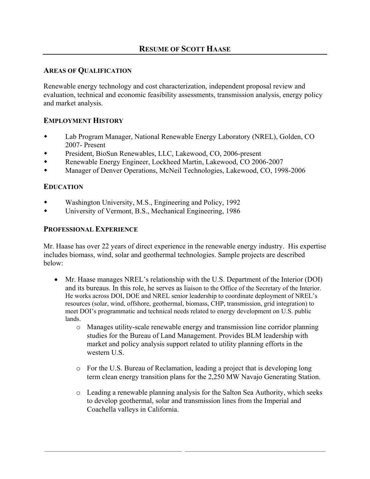## **AREAS OF QUALIFICATION**

Renewable energy technology and cost characterization, independent proposal review and evaluation, technical and economic feasibility assessments, transmission analysis, energy policy and market analysis.

## **EMPLOYMENT HISTORY**

- Lab Program Manager, National Renewable Energy Laboratory (NREL), Golden, CO 2007- Present
- President, BioSun Renewables, LLC, Lakewood, CO, 2006-present
- Renewable Energy Engineer, Lockheed Martin, Lakewood, CO 2006-2007
- Manager of Denver Operations, McNeil Technologies, Lakewood, CO, 1998-2006

## **EDUCATION**

- Washington University, M.S., Engineering and Policy, 1992
- University of Vermont, B.S., Mechanical Engineering, 1986

## **PROFESSIONAL EXPERIENCE**

Mr. Haase has over 22 years of direct experience in the renewable energy industry. His expertise includes biomass, wind, solar and geothermal technologies. Sample projects are described below:

- $\bullet$  Mr. Haase manages NREL's relationship with the U.S. Department of the Interior (DOI) and its bureaus. In this role, he serves as liaison to the Office of the Secretary of the Interior. He works across DOI, DOE and NREL senior leadership to coordinate deployment of NREL's resources (solar, wind, offshore, geothermal, biomass, CHP, transmission, grid integration) to meet DOI's programmatic and technical needs related to energy development on U.S. public lands.
	- o Manages utility-scale renewable energy and transmission line corridor planning studies for the Bureau of Land Management. Provides BLM leadership with market and policy analysis support related to utility planning efforts in the western U.S.
	- o For the U.S. Bureau of Reclamation, leading a project that is developing long term clean energy transition plans for the 2,250 MW Navajo Generating Station.
	- o Leading a renewable planning analysis for the Salton Sea Authority, which seeks to develop geothermal, solar and transmission lines from the Imperial and Coachella valleys in California.

 $\mathcal{L}_\text{max}$  , and the contribution of the contribution of the contribution of the contribution of the contribution of the contribution of the contribution of the contribution of the contribution of the contribution of t